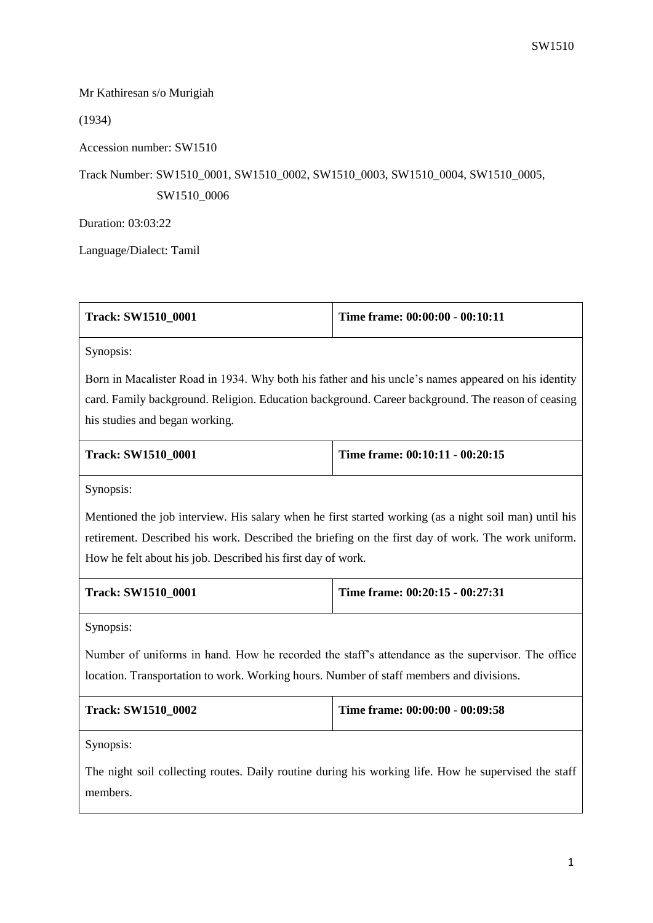## Mr Kathiresan s/o Murigiah

(1934)

Accession number: SW1510

## Track Number: SW1510\_0001, SW1510\_0002, SW1510\_0003, SW1510\_0004, SW1510\_0005, SW1510\_0006

Duration: 03:03:22

Language/Dialect: Tamil

| Track: SW1510 0001 | Time frame: 00:00:00 - 00:10:11 |
|--------------------|---------------------------------|
|--------------------|---------------------------------|

Synopsis:

Born in Macalister Road in 1934. Why both his father and his uncle's names appeared on his identity card. Family background. Religion. Education background. Career background. The reason of ceasing his studies and began working.

| <b>Track: SW1510 0001</b> | Time frame: $00:10:11 - 00:20:15$ |
|---------------------------|-----------------------------------|
|                           |                                   |

Synopsis:

Mentioned the job interview. His salary when he first started working (as a night soil man) until his retirement. Described his work. Described the briefing on the first day of work. The work uniform. How he felt about his job. Described his first day of work.

| <b>Track: SW1510 0001</b> | Time frame: $00:20:15 - 00:27:31$ |
|---------------------------|-----------------------------------|
|                           |                                   |

Synopsis:

Number of uniforms in hand. How he recorded the staff's attendance as the supervisor. The office location. Transportation to work. Working hours. Number of staff members and divisions.

| Time frame: $00:00:00 - 00:09:58$ |
|-----------------------------------|
|                                   |

Synopsis:

The night soil collecting routes. Daily routine during his working life. How he supervised the staff members.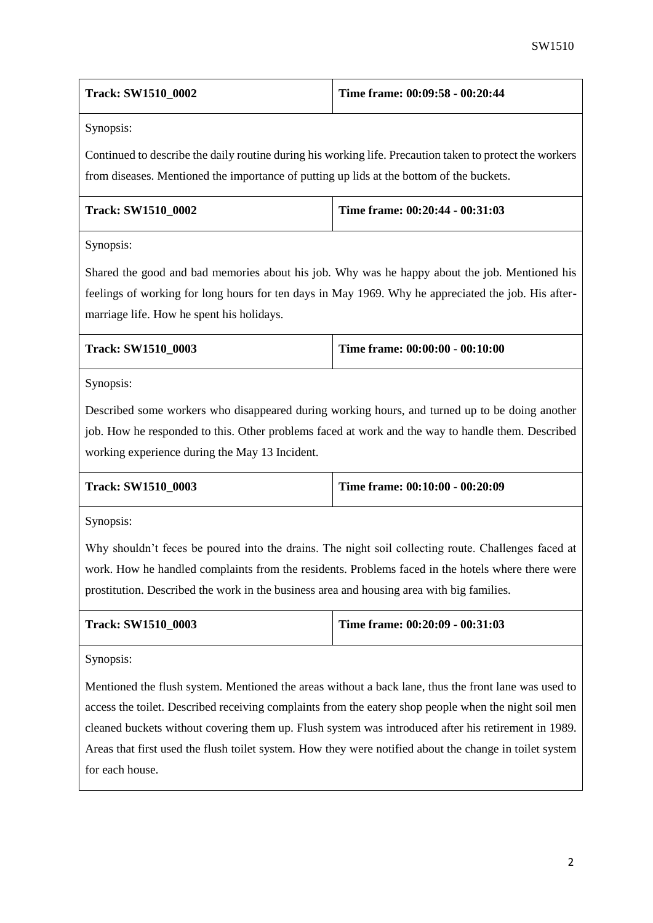| <b>Track: SW1510 0002</b> | Time frame: $00:09:58 - 00:20:44$ |
|---------------------------|-----------------------------------|
|---------------------------|-----------------------------------|

Synopsis:

Continued to describe the daily routine during his working life. Precaution taken to protect the workers from diseases. Mentioned the importance of putting up lids at the bottom of the buckets.

| <b>Track: SW1510 0002</b> | Time frame: $00:20:44 - 00:31:03$ |
|---------------------------|-----------------------------------|
|                           |                                   |

Synopsis:

Shared the good and bad memories about his job. Why was he happy about the job. Mentioned his feelings of working for long hours for ten days in May 1969. Why he appreciated the job. His aftermarriage life. How he spent his holidays.

| <b>Track: SW1510 0003</b> | Time frame: $00:00:00 - 00:10:00$ |
|---------------------------|-----------------------------------|
|                           |                                   |

Synopsis:

Described some workers who disappeared during working hours, and turned up to be doing another job. How he responded to this. Other problems faced at work and the way to handle them. Described working experience during the May 13 Incident.

| <b>Track: SW1510 0003</b> | Time frame: $00:10:00 - 00:20:09$ |
|---------------------------|-----------------------------------|
|                           |                                   |

Synopsis:

Why shouldn't feces be poured into the drains. The night soil collecting route. Challenges faced at work. How he handled complaints from the residents. Problems faced in the hotels where there were prostitution. Described the work in the business area and housing area with big families.

| <b>Track: SW1510 0003</b> | Time frame: $00:20:09 - 00:31:03$ |
|---------------------------|-----------------------------------|
|                           |                                   |

Synopsis:

Mentioned the flush system. Mentioned the areas without a back lane, thus the front lane was used to access the toilet. Described receiving complaints from the eatery shop people when the night soil men cleaned buckets without covering them up. Flush system was introduced after his retirement in 1989. Areas that first used the flush toilet system. How they were notified about the change in toilet system for each house.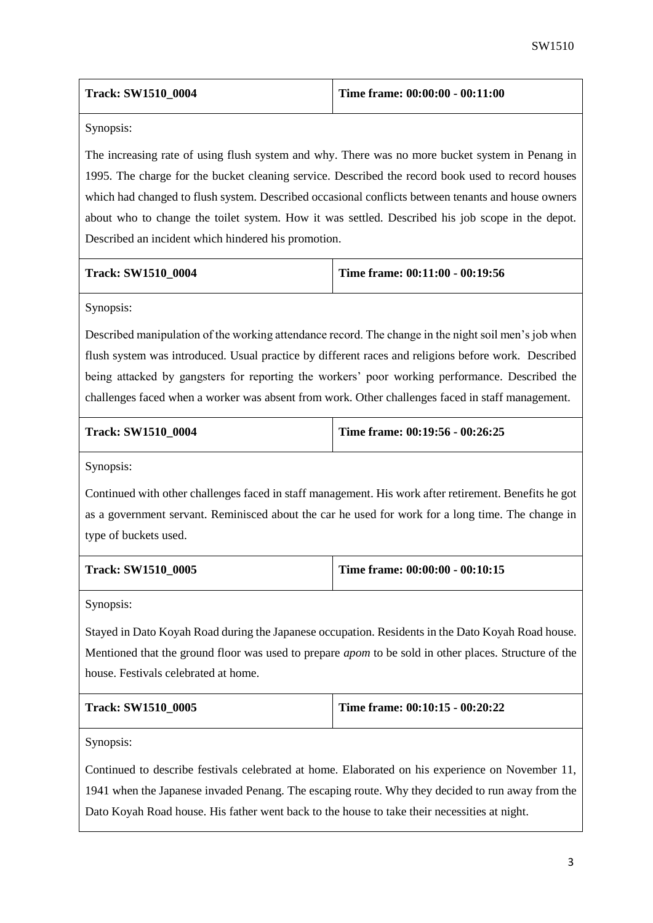| <b>Track: SW1510 0004</b> | Time frame: $00:00:00 - 00:11:00$ |
|---------------------------|-----------------------------------|
|---------------------------|-----------------------------------|

Synopsis:

The increasing rate of using flush system and why. There was no more bucket system in Penang in 1995. The charge for the bucket cleaning service. Described the record book used to record houses which had changed to flush system. Described occasional conflicts between tenants and house owners about who to change the toilet system. How it was settled. Described his job scope in the depot. Described an incident which hindered his promotion.

| <b>Track: SW1510 0004</b> |  |
|---------------------------|--|
|                           |  |

**Time frame: 00:11:00 - 00:19:56** 

Synopsis:

Described manipulation of the working attendance record. The change in the night soil men's job when flush system was introduced. Usual practice by different races and religions before work. Described being attacked by gangsters for reporting the workers' poor working performance. Described the challenges faced when a worker was absent from work. Other challenges faced in staff management.

**Track: SW1510\_0004 Time frame: 00:19:56 - 00:26:25**

Synopsis:

Continued with other challenges faced in staff management. His work after retirement. Benefits he got as a government servant. Reminisced about the car he used for work for a long time. The change in type of buckets used.

| <b>Track: SW1510 0005</b> | Time frame: $00:00:00 - 00:10:15$ |
|---------------------------|-----------------------------------|
|                           |                                   |

Synopsis:

Stayed in Dato Koyah Road during the Japanese occupation. Residents in the Dato Koyah Road house. Mentioned that the ground floor was used to prepare *apom* to be sold in other places. Structure of the house. Festivals celebrated at home.

| Track: SW1510 0005 | Time frame: $00:10:15 - 00:20:22$ |
|--------------------|-----------------------------------|
|                    |                                   |

Synopsis:

Continued to describe festivals celebrated at home. Elaborated on his experience on November 11, 1941 when the Japanese invaded Penang. The escaping route. Why they decided to run away from the Dato Koyah Road house. His father went back to the house to take their necessities at night.